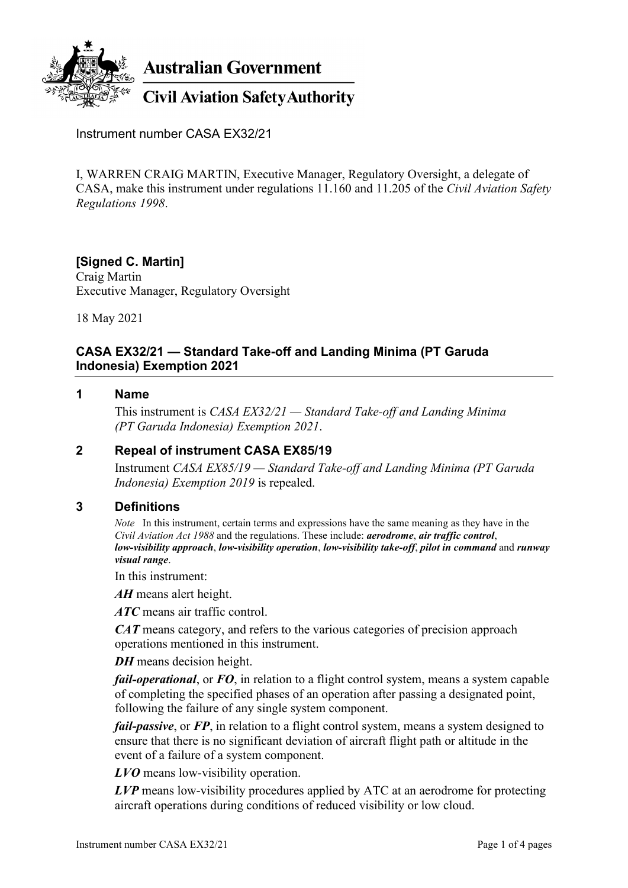

**Australian Government** 

# **Civil Aviation Safety Authority**

Instrument number CASA EX32/21

I, WARREN CRAIG MARTIN, Executive Manager, Regulatory Oversight, a delegate of CASA, make this instrument under regulations 11.160 and 11.205 of the *Civil Aviation Safety Regulations 1998*.

#### **[Signed C. Martin]** Craig Martin

Executive Manager, Regulatory Oversight

18 May 2021

## **CASA EX32/21 — Standard Take-off and Landing Minima (PT Garuda Indonesia) Exemption 2021**

#### **1 Name**

This instrument is *CASA EX32/21 — Standard Take-off and Landing Minima (PT Garuda Indonesia) Exemption 2021*.

#### **2 Repeal of instrument CASA EX85/19**

Instrument *CASA EX85/19 — Standard Take-off and Landing Minima (PT Garuda Indonesia) Exemption 2019* is repealed.

#### **3 Definitions**

*Note* In this instrument, certain terms and expressions have the same meaning as they have in the *Civil Aviation Act 1988* and the regulations. These include: *aerodrome*, *air traffic control*, *low-visibility approach*, *low-visibility operation*, *low-visibility take-off*, *pilot in command* and *runway visual range*.

In this instrument:

*AH* means alert height.

*ATC* means air traffic control.

*CAT* means category, and refers to the various categories of precision approach operations mentioned in this instrument.

*DH* means decision height.

*fail-operational*, or *FO*, in relation to a flight control system, means a system capable of completing the specified phases of an operation after passing a designated point, following the failure of any single system component.

*fail-passive*, or FP, in relation to a flight control system, means a system designed to ensure that there is no significant deviation of aircraft flight path or altitude in the event of a failure of a system component.

*LVO* means low-visibility operation.

*LVP* means low-visibility procedures applied by ATC at an aerodrome for protecting aircraft operations during conditions of reduced visibility or low cloud.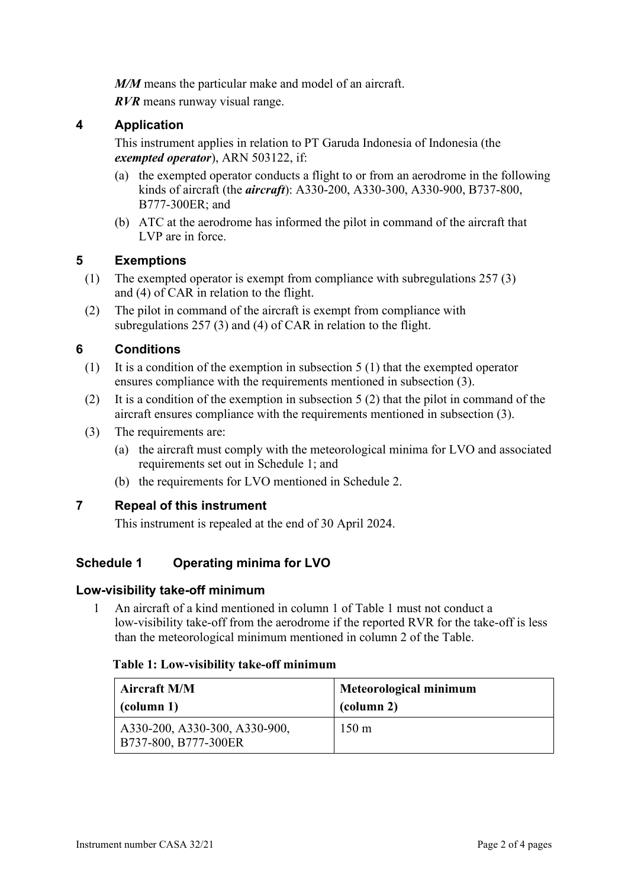*M/M* means the particular make and model of an aircraft.

*RVR* means runway visual range.

#### **4 Application**

This instrument applies in relation to PT Garuda Indonesia of Indonesia (the *exempted operator*), ARN 503122, if:

- (a) the exempted operator conducts a flight to or from an aerodrome in the following kinds of aircraft (the *aircraft*): A330-200, A330-300, A330-900, B737-800, B777-300ER; and
- (b) ATC at the aerodrome has informed the pilot in command of the aircraft that LVP are in force.

## **5 Exemptions**

- (1) The exempted operator is exempt from compliance with subregulations 257 (3) and (4) of CAR in relation to the flight.
- (2) The pilot in command of the aircraft is exempt from compliance with subregulations 257 (3) and (4) of CAR in relation to the flight.

## **6 Conditions**

- (1) It is a condition of the exemption in subsection 5 (1) that the exempted operator ensures compliance with the requirements mentioned in subsection (3).
- (2) It is a condition of the exemption in subsection 5 (2) that the pilot in command of the aircraft ensures compliance with the requirements mentioned in subsection (3).
- (3) The requirements are:
	- (a) the aircraft must comply with the meteorological minima for LVO and associated requirements set out in Schedule 1; and
	- (b) the requirements for LVO mentioned in Schedule 2.

#### **7 Repeal of this instrument**

This instrument is repealed at the end of 30 April 2024.

# **Schedule 1 Operating minima for LVO**

#### **Low-visibility take-off minimum**

1 An aircraft of a kind mentioned in column 1 of Table 1 must not conduct a low-visibility take-off from the aerodrome if the reported RVR for the take-off is less than the meteorological minimum mentioned in column 2 of the Table.

#### **Table 1: Low-visibility take-off minimum**

| <b>Aircraft M/M</b>                                     | Meteorological minimum |
|---------------------------------------------------------|------------------------|
| (column 1)                                              | (column 2)             |
| A330-200, A330-300, A330-900,<br>  B737-800, B777-300ER | $150 \text{ m}$        |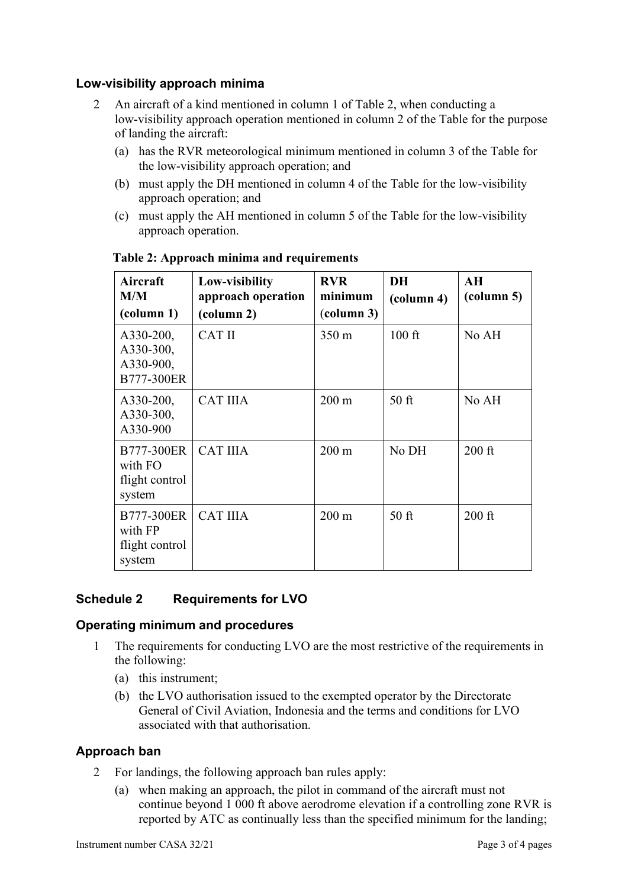## **Low-visibility approach minima**

- 2 An aircraft of a kind mentioned in column 1 of Table 2, when conducting a low-visibility approach operation mentioned in column 2 of the Table for the purpose of landing the aircraft:
	- (a) has the RVR meteorological minimum mentioned in column 3 of the Table for the low-visibility approach operation; and
	- (b) must apply the DH mentioned in column 4 of the Table for the low-visibility approach operation; and
	- (c) must apply the AH mentioned in column 5 of the Table for the low-visibility approach operation.

| Aircraft<br>M/M<br>(column 1)                     | Low-visibility<br>approach operation<br>(column 2) | <b>RVR</b><br>minimum<br>(column 3) | <b>DH</b><br>(column 4) | AH<br>(column 5) |
|---------------------------------------------------|----------------------------------------------------|-------------------------------------|-------------------------|------------------|
| A330-200,<br>A330-300,<br>A330-900,<br>B777-300ER | <b>CAT II</b>                                      | $350 \text{ m}$                     | $100$ ft                | No AH            |
| A330-200,<br>A330-300,<br>A330-900                | <b>CAT IIIA</b>                                    | $200 \text{ m}$                     | $50$ ft                 | No AH            |
| B777-300ER<br>with FO<br>flight control<br>system | <b>CAT IIIA</b>                                    | $200 \text{ m}$                     | No DH                   | $200$ ft         |
| B777-300ER<br>with FP<br>flight control<br>system | <b>CAT IIIA</b>                                    | $200 \text{ m}$                     | $50$ ft                 | $200$ ft         |

**Table 2: Approach minima and requirements**

# **Schedule 2 Requirements for LVO**

#### **Operating minimum and procedures**

- 1 The requirements for conducting LVO are the most restrictive of the requirements in the following:
	- (a) this instrument;
	- (b) the LVO authorisation issued to the exempted operator by the Directorate General of Civil Aviation, Indonesia and the terms and conditions for LVO associated with that authorisation.

#### **Approach ban**

- 2 For landings, the following approach ban rules apply:
	- (a) when making an approach, the pilot in command of the aircraft must not continue beyond 1 000 ft above aerodrome elevation if a controlling zone RVR is reported by ATC as continually less than the specified minimum for the landing;